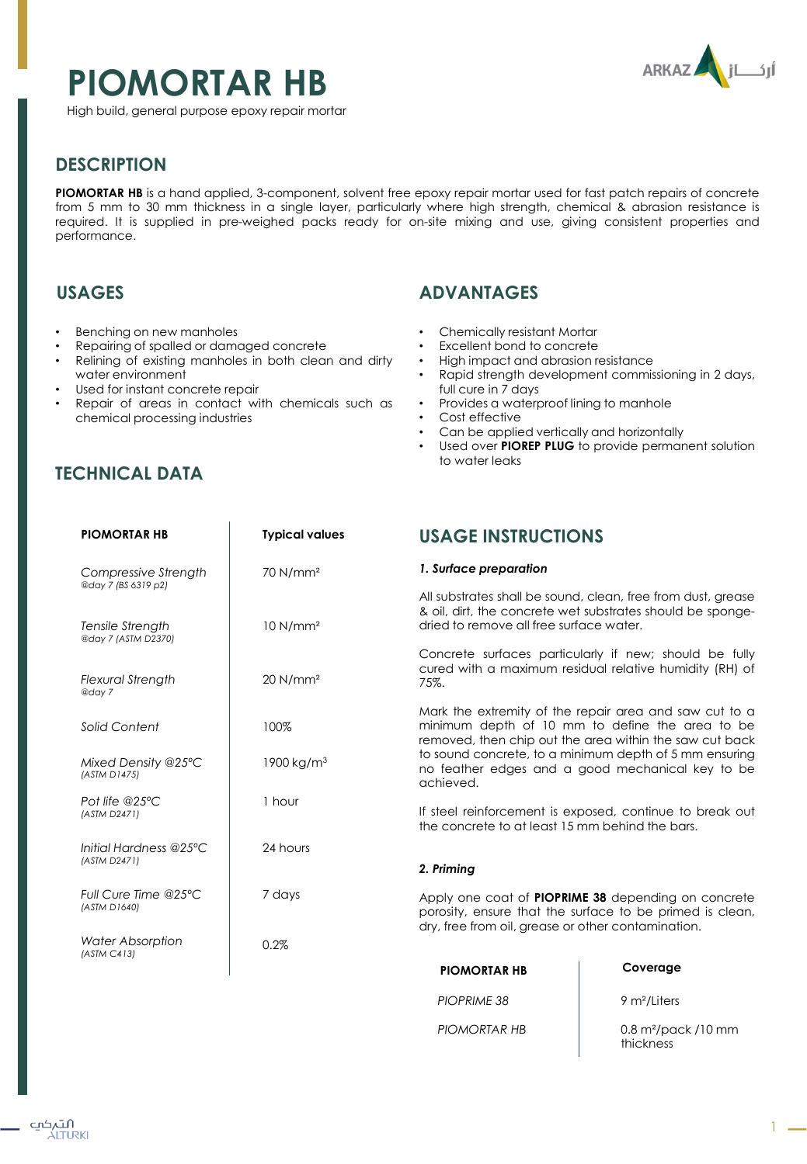# **PIOMORTAR HB**



High build, general purpose epoxy repair mortar

# **DESCRIPTION**

**PIOMORTAR HB** is a hand applied, 3-component, solvent free epoxy repair mortar used for fast patch repairs of concrete from 5 mm to 30 mm thickness in a single layer, particularly where high strength, chemical & abrasion resistance is required. It is supplied in pre-weighed packs ready for on-site mixing and use, giving consistent properties and performance.

## **USAGES**

- Benching on new manholes
- Repairing of spalled or damaged concrete
- Relining of existing manholes in both clean and dirty water environment
- Used for instant concrete repair
- Repair of areas in contact with chemicals such as chemical processing industries

# **TECHNICAL DATA**

## **ADVANTAGES**

- Chemically resistant Mortar
- Excellent bond to concrete
- High impact and abrasion resistance
- Rapid strength development commissioning in 2 days, full cure in 7 days
- Provides a waterproof lining to manhole
- Cost effective
- Can be applied vertically and horizontally
- Used over **PIOREP PLUG** to provide permanent solution to water leaks

| <b>PIOMORTAR HB</b>                                            | <b>Typical values</b>  | <b>USAGE INSTRUCTIONS</b>                                                                                                                                                                                                                                                                       |                                                                                                                            |
|----------------------------------------------------------------|------------------------|-------------------------------------------------------------------------------------------------------------------------------------------------------------------------------------------------------------------------------------------------------------------------------------------------|----------------------------------------------------------------------------------------------------------------------------|
| Compressive Strength                                           | $70$ N/mm <sup>2</sup> | 1. Surface preparation                                                                                                                                                                                                                                                                          |                                                                                                                            |
| @day 7 (BS 6319 p2)<br>Tensile Strength<br>@day 7 (ASTM D2370) | 10 N/mm <sup>2</sup>   | dried to remove all free surface water.                                                                                                                                                                                                                                                         | All substrates shall be sound, clean, free from dust, grease<br>& oil, dirt, the concrete wet substrates should be sponge- |
| <b>Flexural Strength</b><br>@day 7                             | 20 N/mm <sup>2</sup>   | 75%.                                                                                                                                                                                                                                                                                            | Concrete surfaces particularly if new; should be fully<br>cured with a maximum residual relative humidity (RH) of          |
| Solid Content                                                  | 100%                   | Mark the extremity of the repair area and saw cut to a<br>minimum depth of 10 mm to define the area to be<br>removed, then chip out the area within the saw cut back<br>to sound concrete, to a minimum depth of 5 mm ensuring<br>no feather edges and a good mechanical key to be<br>achieved. |                                                                                                                            |
| Mixed Density @25°C<br>(ASTM D1475)                            | 1900 kg/m <sup>3</sup> |                                                                                                                                                                                                                                                                                                 |                                                                                                                            |
| Pot life @25°C<br>(ASTM D2471)                                 | 1 hour                 | If steel reinforcement is exposed, continue to break out<br>the concrete to at least 15 mm behind the bars.                                                                                                                                                                                     |                                                                                                                            |
| Initial Hardness @25°C<br>(ASTM D2471)                         | 24 hours               | 2. Priming                                                                                                                                                                                                                                                                                      |                                                                                                                            |
| Full Cure Time @25°C<br>(ASTM D1640)                           | 7 days                 | Apply one coat of <b>PIOPRIME 38</b> depending on concrete<br>porosity, ensure that the surface to be primed is clean,<br>dry, free from oil, grease or other contamination.                                                                                                                    |                                                                                                                            |
| Water Absorption<br>(ASTM C413)                                | 0.2%                   |                                                                                                                                                                                                                                                                                                 |                                                                                                                            |
|                                                                |                        | <b>PIOMORTAR HB</b>                                                                                                                                                                                                                                                                             | Coverage                                                                                                                   |
|                                                                |                        | <b>PIOPRIME 38</b>                                                                                                                                                                                                                                                                              | 9 m <sup>2</sup> /Liters                                                                                                   |

*PIOMORTAR HB*

0.8 m²/pack /10 mm thickness